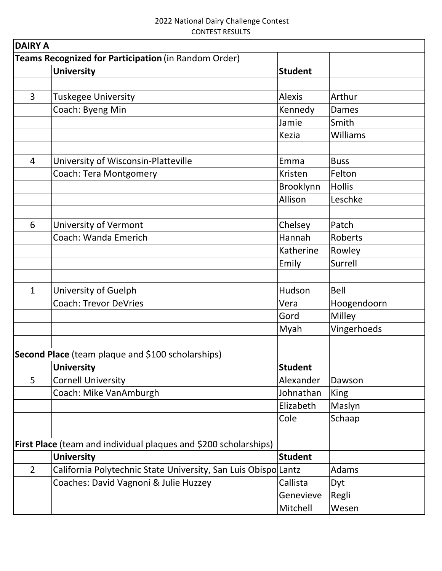| <b>DAIRY A</b>                                       |                                                                  |                |                 |  |  |
|------------------------------------------------------|------------------------------------------------------------------|----------------|-----------------|--|--|
| Teams Recognized for Participation (in Random Order) |                                                                  |                |                 |  |  |
|                                                      | <b>University</b>                                                | <b>Student</b> |                 |  |  |
|                                                      |                                                                  |                |                 |  |  |
| $\overline{3}$                                       | <b>Tuskegee University</b>                                       | <b>Alexis</b>  | Arthur          |  |  |
|                                                      | Coach: Byeng Min                                                 | Kennedy        | Dames           |  |  |
|                                                      |                                                                  | Jamie          | Smith           |  |  |
|                                                      |                                                                  | <b>Kezia</b>   | <b>Williams</b> |  |  |
| $\overline{4}$                                       | University of Wisconsin-Platteville                              | Emma           | <b>Buss</b>     |  |  |
|                                                      | <b>Coach: Tera Montgomery</b>                                    | Kristen        | Felton          |  |  |
|                                                      |                                                                  | Brooklynn      | <b>Hollis</b>   |  |  |
|                                                      |                                                                  | Allison        | Leschke         |  |  |
|                                                      |                                                                  |                |                 |  |  |
| 6                                                    | University of Vermont                                            | Chelsey        | Patch           |  |  |
|                                                      | Coach: Wanda Emerich                                             | Hannah         | Roberts         |  |  |
|                                                      |                                                                  | Katherine      | Rowley          |  |  |
|                                                      |                                                                  | Emily          | Surrell         |  |  |
|                                                      |                                                                  |                |                 |  |  |
| $\mathbf{1}$                                         | University of Guelph                                             | Hudson         | Bell            |  |  |
|                                                      | <b>Coach: Trevor DeVries</b>                                     | Vera           | Hoogendoorn     |  |  |
|                                                      |                                                                  | Gord           | Milley          |  |  |
|                                                      |                                                                  | Myah           | Vingerhoeds     |  |  |
|                                                      |                                                                  |                |                 |  |  |
|                                                      | Second Place (team plaque and \$100 scholarships)                |                |                 |  |  |
|                                                      | <b>University</b>                                                | <b>Student</b> |                 |  |  |
| 5                                                    | <b>Cornell University</b>                                        | Alexander      | Dawson          |  |  |
|                                                      | Coach: Mike VanAmburgh                                           | Johnathan      | King            |  |  |
|                                                      |                                                                  | Elizabeth      | Maslyn          |  |  |
|                                                      |                                                                  | Cole           | Schaap          |  |  |
|                                                      |                                                                  |                |                 |  |  |
|                                                      | First Place (team and individual plaques and \$200 scholarships) |                |                 |  |  |
|                                                      | <b>University</b>                                                | <b>Student</b> |                 |  |  |
| $\overline{2}$                                       | California Polytechnic State University, San Luis Obispo Lantz   |                | Adams           |  |  |
|                                                      | Coaches: David Vagnoni & Julie Huzzey                            | Callista       | Dyt             |  |  |
|                                                      |                                                                  | Genevieve      | Regli           |  |  |
|                                                      |                                                                  | Mitchell       | Wesen           |  |  |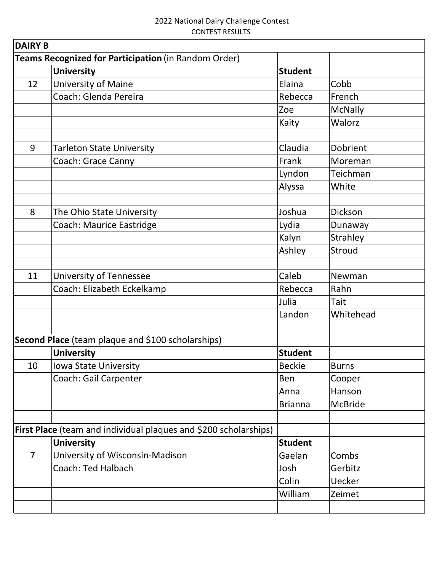| <b>DAIRY B</b> |                                                                         |                |                |  |
|----------------|-------------------------------------------------------------------------|----------------|----------------|--|
|                | Teams Recognized for Participation (in Random Order)                    |                |                |  |
|                | <b>University</b>                                                       | <b>Student</b> |                |  |
| 12             | University of Maine                                                     | Elaina         | Cobb           |  |
|                | Coach: Glenda Pereira                                                   | Rebecca        | French         |  |
|                |                                                                         | Zoe            | <b>McNally</b> |  |
|                |                                                                         | Kaity          | Walorz         |  |
|                |                                                                         |                |                |  |
| 9              | <b>Tarleton State University</b>                                        | Claudia        | Dobrient       |  |
|                | Coach: Grace Canny                                                      | Frank          | Moreman        |  |
|                |                                                                         | Lyndon         | Teichman       |  |
|                |                                                                         | Alyssa         | White          |  |
|                |                                                                         |                |                |  |
| 8              | The Ohio State University                                               | Joshua         | Dickson        |  |
|                | <b>Coach: Maurice Eastridge</b>                                         | Lydia          | Dunaway        |  |
|                |                                                                         | Kalyn          | Strahley       |  |
|                |                                                                         | Ashley         | Stroud         |  |
|                |                                                                         |                |                |  |
| 11             | <b>University of Tennessee</b>                                          | Caleb          | Newman         |  |
|                | Coach: Elizabeth Eckelkamp                                              | Rebecca        | Rahn           |  |
|                |                                                                         | Julia          | Tait           |  |
|                |                                                                         | Landon         | Whitehead      |  |
|                |                                                                         |                |                |  |
|                | Second Place (team plaque and \$100 scholarships)                       |                |                |  |
|                | <b>University</b>                                                       | <b>Student</b> |                |  |
| 10             | Iowa State University                                                   | <b>Beckie</b>  | <b>Burns</b>   |  |
|                | Coach: Gail Carpenter                                                   | Ben            | Cooper         |  |
|                |                                                                         | Anna           | Hanson         |  |
|                |                                                                         | <b>Brianna</b> | <b>McBride</b> |  |
|                |                                                                         |                |                |  |
|                | <b>First Place</b> (team and individual plaques and \$200 scholarships) |                |                |  |
|                | <b>University</b>                                                       | <b>Student</b> |                |  |
| $\overline{7}$ | University of Wisconsin-Madison                                         | Gaelan         | Combs          |  |
|                | <b>Coach: Ted Halbach</b>                                               | Josh           | Gerbitz        |  |
|                |                                                                         | Colin          | <b>Uecker</b>  |  |
|                |                                                                         | William        | Zeimet         |  |
|                |                                                                         |                |                |  |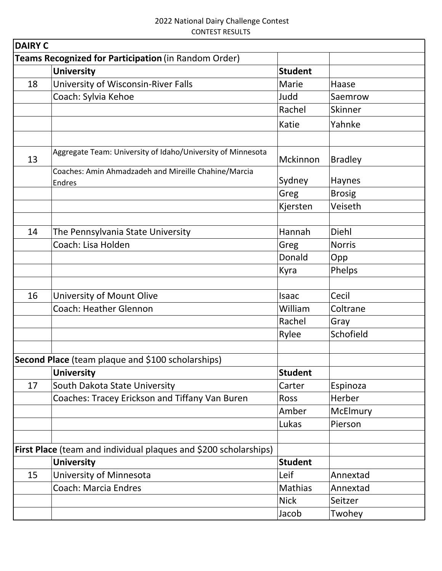| <b>DAIRY C</b> |                                                                  |                |                |
|----------------|------------------------------------------------------------------|----------------|----------------|
|                | Teams Recognized for Participation (in Random Order)             |                |                |
|                | <b>University</b>                                                | <b>Student</b> |                |
| 18             | University of Wisconsin-River Falls                              | Marie          | Haase          |
|                | Coach: Sylvia Kehoe                                              | Judd           | Saemrow        |
|                |                                                                  | Rachel         | Skinner        |
|                |                                                                  | Katie          | Yahnke         |
| 13             | Aggregate Team: University of Idaho/University of Minnesota      | Mckinnon       | <b>Bradley</b> |
|                | Coaches: Amin Ahmadzadeh and Mireille Chahine/Marcia<br>Endres   | Sydney         | Haynes         |
|                |                                                                  | Greg           | <b>Brosig</b>  |
|                |                                                                  | Kjersten       | Veiseth        |
| 14             | The Pennsylvania State University                                | Hannah         | Diehl          |
|                | Coach: Lisa Holden                                               | Greg           | <b>Norris</b>  |
|                |                                                                  | Donald         | Opp            |
|                |                                                                  | Kyra           | Phelps         |
|                |                                                                  |                |                |
| 16             | University of Mount Olive                                        | Isaac          | Cecil          |
|                | <b>Coach: Heather Glennon</b>                                    | William        | Coltrane       |
|                |                                                                  | Rachel         | Gray           |
|                |                                                                  | Rylee          | Schofield      |
|                |                                                                  |                |                |
|                | Second Place (team plaque and \$100 scholarships)                |                |                |
|                | <b>University</b>                                                | <b>Student</b> |                |
| 17             | South Dakota State University                                    | Carter         | Espinoza       |
|                | Coaches: Tracey Erickson and Tiffany Van Buren                   | <b>Ross</b>    | Herber         |
|                |                                                                  | Amber          | McElmury       |
|                |                                                                  | Lukas          | Pierson        |
|                | First Place (team and individual plaques and \$200 scholarships) |                |                |
|                | <b>University</b>                                                | <b>Student</b> |                |
| 15             | University of Minnesota                                          | Leif           | Annextad       |
|                | <b>Coach: Marcia Endres</b>                                      | Mathias        | Annextad       |
|                |                                                                  | <b>Nick</b>    | Seitzer        |
|                |                                                                  | Jacob          | Twohey         |